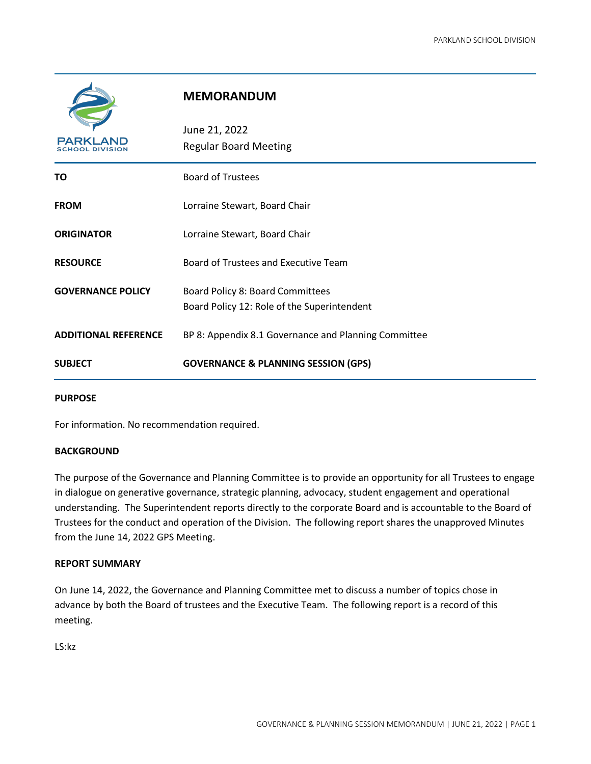

## **MEMORANDUM**

| <b>PARKLAND</b><br>IOOL DIVISION | June 21, 2022<br><b>Regular Board Meeting</b>                                   |
|----------------------------------|---------------------------------------------------------------------------------|
| ΤO                               | <b>Board of Trustees</b>                                                        |
| <b>FROM</b>                      | Lorraine Stewart, Board Chair                                                   |
| <b>ORIGINATOR</b>                | Lorraine Stewart, Board Chair                                                   |
| <b>RESOURCE</b>                  | Board of Trustees and Executive Team                                            |
| <b>GOVERNANCE POLICY</b>         | Board Policy 8: Board Committees<br>Board Policy 12: Role of the Superintendent |
| <b>ADDITIONAL REFERENCE</b>      | BP 8: Appendix 8.1 Governance and Planning Committee                            |
| <b>SUBJECT</b>                   | <b>GOVERNANCE &amp; PLANNING SESSION (GPS)</b>                                  |

#### **PURPOSE**

For information. No recommendation required.

#### **BACKGROUND**

The purpose of the Governance and Planning Committee is to provide an opportunity for all Trustees to engage in dialogue on generative governance, strategic planning, advocacy, student engagement and operational understanding. The Superintendent reports directly to the corporate Board and is accountable to the Board of Trustees for the conduct and operation of the Division. The following report shares the unapproved Minutes from the June 14, 2022 GPS Meeting.

#### **REPORT SUMMARY**

On June 14, 2022, the Governance and Planning Committee met to discuss a number of topics chose in advance by both the Board of trustees and the Executive Team. The following report is a record of this meeting.

LS:kz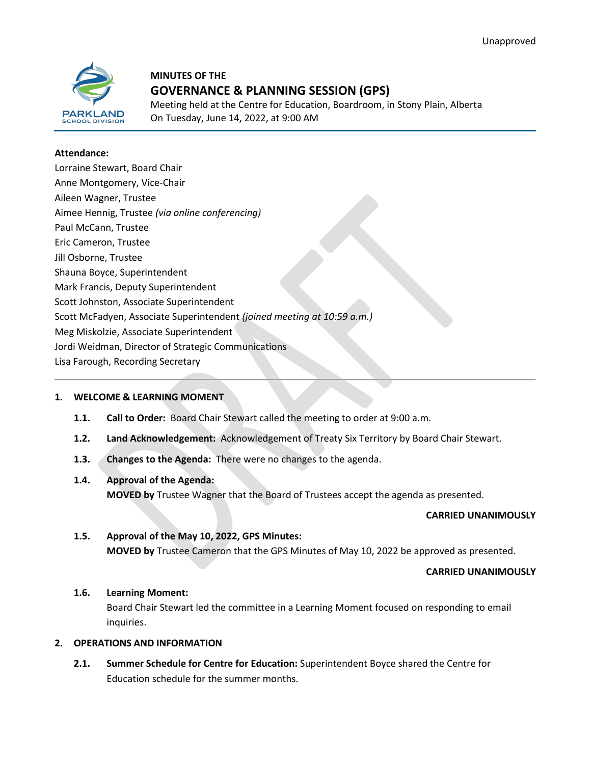

# **MINUTES OF THE GOVERNANCE & PLANNING SESSION (GPS)**

Meeting held at the Centre for Education, Boardroom, in Stony Plain, Alberta On Tuesday, June 14, 2022, at 9:00 AM

#### **Attendance:**

| Lorraine Stewart, Board Chair                                           |
|-------------------------------------------------------------------------|
| Anne Montgomery, Vice-Chair                                             |
| Aileen Wagner, Trustee                                                  |
| Aimee Hennig, Trustee (via online conferencing)                         |
| Paul McCann, Trustee                                                    |
| Eric Cameron, Trustee                                                   |
| Jill Osborne, Trustee                                                   |
| Shauna Boyce, Superintendent                                            |
| Mark Francis, Deputy Superintendent                                     |
| Scott Johnston, Associate Superintendent                                |
| Scott McFadyen, Associate Superintendent (joined meeting at 10:59 a.m.) |
| Meg Miskolzie, Associate Superintendent                                 |
| Jordi Weidman, Director of Strategic Communications                     |
| Lisa Farough, Recording Secretary                                       |
|                                                                         |

## **1. WELCOME & LEARNING MOMENT**

- **1.1. Call to Order:** Board Chair Stewart called the meeting to order at 9:00 a.m.
- **1.2. Land Acknowledgement:** Acknowledgement of Treaty Six Territory by Board Chair Stewart.
- **1.3. Changes to the Agenda:** There were no changes to the agenda.

## **1.4. Approval of the Agenda:**

**MOVED by** Trustee Wagner that the Board of Trustees accept the agenda as presented.

#### **CARRIED UNANIMOUSLY**

#### **1.5. Approval of the May 10, 2022, GPS Minutes:**

**MOVED by** Trustee Cameron that the GPS Minutes of May 10, 2022 be approved as presented.

#### **CARRIED UNANIMOUSLY**

#### **1.6. Learning Moment:**

Board Chair Stewart led the committee in a Learning Moment focused on responding to email inquiries.

## **2. OPERATIONS AND INFORMATION**

**2.1. Summer Schedule for Centre for Education:** Superintendent Boyce shared the Centre for Education schedule for the summer months.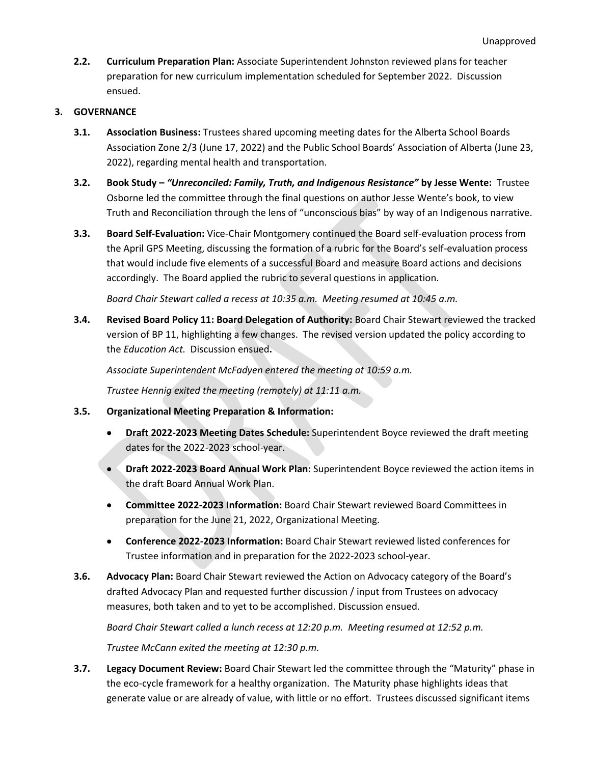**2.2. Curriculum Preparation Plan:** Associate Superintendent Johnston reviewed plans for teacher preparation for new curriculum implementation scheduled for September 2022. Discussion ensued.

## **3. GOVERNANCE**

- **3.1. Association Business:** Trustees shared upcoming meeting dates for the Alberta School Boards Association Zone 2/3 (June 17, 2022) and the Public School Boards' Association of Alberta (June 23, 2022), regarding mental health and transportation.
- **3.2. Book Study –** *"Unreconciled: Family, Truth, and Indigenous Resistance"* **by Jesse Wente:** Trustee Osborne led the committee through the final questions on author Jesse Wente's book, to view Truth and Reconciliation through the lens of "unconscious bias" by way of an Indigenous narrative.
- **3.3. Board Self-Evaluation:** Vice-Chair Montgomery continued the Board self-evaluation process from the April GPS Meeting, discussing the formation of a rubric for the Board's self-evaluation process that would include five elements of a successful Board and measure Board actions and decisions accordingly. The Board applied the rubric to several questions in application.

*Board Chair Stewart called a recess at 10:35 a.m. Meeting resumed at 10:45 a.m.*

**3.4. Revised Board Policy 11: Board Delegation of Authority:** Board Chair Stewart reviewed the tracked version of BP 11, highlighting a few changes. The revised version updated the policy according to the *Education Act.* Discussion ensued**.**

*Associate Superintendent McFadyen entered the meeting at 10:59 a.m.*

*Trustee Hennig exited the meeting (remotely) at 11:11 a.m.*

- **3.5. Organizational Meeting Preparation & Information:**
	- **Draft 2022-2023 Meeting Dates Schedule:** Superintendent Boyce reviewed the draft meeting dates for the 2022-2023 school-year.
	- **Draft 2022-2023 Board Annual Work Plan:** Superintendent Boyce reviewed the action items in the draft Board Annual Work Plan.
	- **Committee 2022-2023 Information:** Board Chair Stewart reviewed Board Committees in preparation for the June 21, 2022, Organizational Meeting.
	- **Conference 2022-2023 Information:** Board Chair Stewart reviewed listed conferences for Trustee information and in preparation for the 2022-2023 school-year.
- **3.6. Advocacy Plan:** Board Chair Stewart reviewed the Action on Advocacy category of the Board's drafted Advocacy Plan and requested further discussion / input from Trustees on advocacy measures, both taken and to yet to be accomplished. Discussion ensued.

*Board Chair Stewart called a lunch recess at 12:20 p.m. Meeting resumed at 12:52 p.m.*

*Trustee McCann exited the meeting at 12:30 p.m.*

**3.7. Legacy Document Review:** Board Chair Stewart led the committee through the "Maturity" phase in the eco-cycle framework for a healthy organization. The Maturity phase highlights ideas that generate value or are already of value, with little or no effort. Trustees discussed significant items